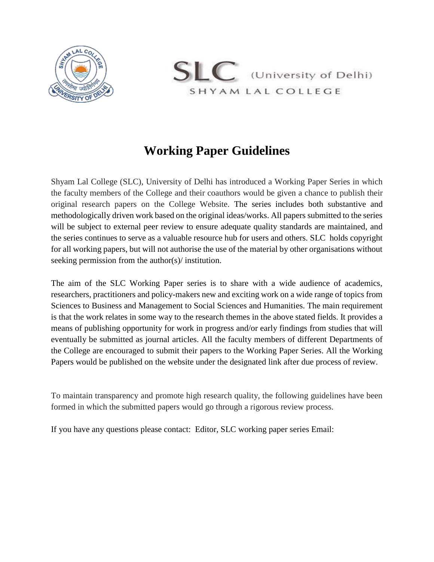



## **Working Paper Guidelines**

Shyam Lal College (SLC), University of Delhi has introduced a Working Paper Series in which the faculty members of the College and their coauthors would be given a chance to publish their original research papers on the College Website. The series includes both substantive and methodologically driven work based on the original ideas/works. All papers submitted to the series will be subject to external peer review to ensure adequate quality standards are maintained, and the series continues to serve as a valuable resource hub for users and others. SLC holds copyright for all working papers, but will not authorise the use of the material by other organisations without seeking permission from the author(s)/ institution.

The aim of the SLC Working Paper series is to share with a wide audience of academics, researchers, practitioners and policy-makers new and exciting work on a wide range of topics from Sciences to Business and Management to Social Sciences and Humanities. The main requirement is that the work relates in some way to the research themes in the above stated fields. It provides a means of publishing opportunity for work in progress and/or early findings from studies that will eventually be submitted as journal articles. All the faculty members of different Departments of the College are encouraged to submit their papers to the Working Paper Series. All the Working Papers would be published on the website under the designated link after due process of review.

To maintain transparency and promote high research quality, the following guidelines have been formed in which the submitted papers would go through a rigorous review process.

If you have any questions please contact: Editor, SLC working paper series Email: